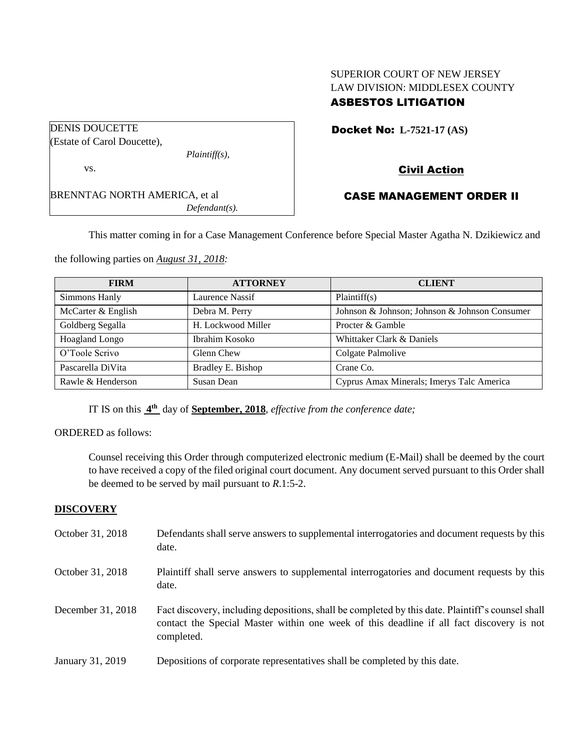## SUPERIOR COURT OF NEW JERSEY LAW DIVISION: MIDDLESEX COUNTY ASBESTOS LITIGATION

|  |  |  | <b>Docket No: L-7521-17 (AS)</b> |  |
|--|--|--|----------------------------------|--|
|--|--|--|----------------------------------|--|

Civil Action

## CASE MANAGEMENT ORDER II

This matter coming in for a Case Management Conference before Special Master Agatha N. Dzikiewicz and

the following parties on *August 31, 2018:*

| <b>FIRM</b>        | <b>ATTORNEY</b>    | <b>CLIENT</b>                                 |
|--------------------|--------------------|-----------------------------------------------|
| Simmons Hanly      | Laurence Nassif    | Plaintiff(s)                                  |
| McCarter & English | Debra M. Perry     | Johnson & Johnson; Johnson & Johnson Consumer |
| Goldberg Segalla   | H. Lockwood Miller | Procter & Gamble                              |
| Hoagland Longo     | Ibrahim Kosoko     | Whittaker Clark & Daniels                     |
| O'Toole Scrivo     | Glenn Chew         | Colgate Palmolive                             |
| Pascarella DiVita  | Bradley E. Bishop  | Crane Co.                                     |
| Rawle & Henderson  | Susan Dean         | Cyprus Amax Minerals; Imerys Talc America     |

IT IS on this  $4^{\text{th}}$  day of **September, 2018**, *effective from the conference date*;

## ORDERED as follows:

Counsel receiving this Order through computerized electronic medium (E-Mail) shall be deemed by the court to have received a copy of the filed original court document. Any document served pursuant to this Order shall be deemed to be served by mail pursuant to *R*.1:5-2.

### **DISCOVERY**

| October 31, 2018  | Defendants shall serve answers to supplemental interrogatories and document requests by this<br>date.                                                                                                       |
|-------------------|-------------------------------------------------------------------------------------------------------------------------------------------------------------------------------------------------------------|
| October 31, 2018  | Plaintiff shall serve answers to supplemental interrogatories and document requests by this<br>date.                                                                                                        |
| December 31, 2018 | Fact discovery, including depositions, shall be completed by this date. Plaintiff's counsel shall<br>contact the Special Master within one week of this deadline if all fact discovery is not<br>completed. |
| January 31, 2019  | Depositions of corporate representatives shall be completed by this date.                                                                                                                                   |

| DENIO DOUCETTE                       |                  |
|--------------------------------------|------------------|
| (Estate of Carol Doucette),          |                  |
|                                      | $Plaintiff(s)$ , |
| VS.                                  |                  |
| <b>BRENNTAG NORTH AMERICA, et al</b> |                  |
|                                      | $Defendant(s)$ . |

DENIS DOUCETTE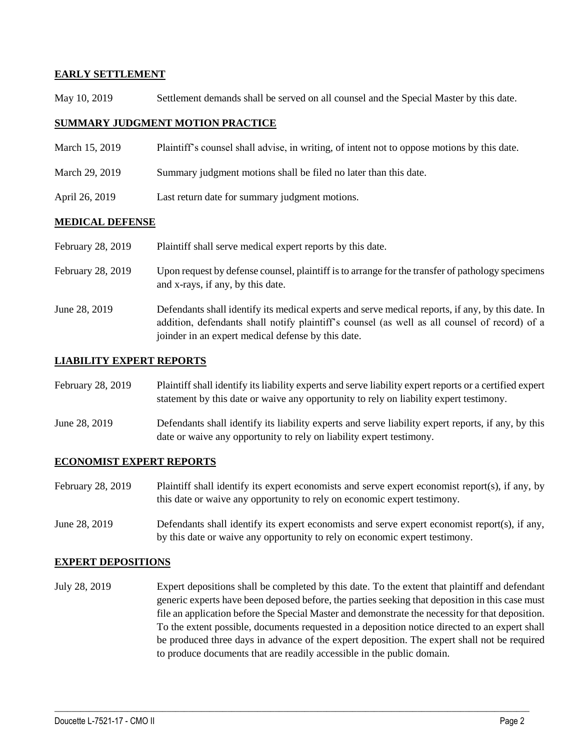### **EARLY SETTLEMENT**

May 10, 2019 Settlement demands shall be served on all counsel and the Special Master by this date.

### **SUMMARY JUDGMENT MOTION PRACTICE**

- March 15, 2019 Plaintiff's counsel shall advise, in writing, of intent not to oppose motions by this date.
- March 29, 2019 Summary judgment motions shall be filed no later than this date.
- April 26, 2019 Last return date for summary judgment motions.

### **MEDICAL DEFENSE**

| February 28, 2019 | Plaintiff shall serve medical expert reports by this date. |
|-------------------|------------------------------------------------------------|
|-------------------|------------------------------------------------------------|

- February 28, 2019 Upon request by defense counsel, plaintiff is to arrange for the transfer of pathology specimens and x-rays, if any, by this date.
- June 28, 2019 Defendants shall identify its medical experts and serve medical reports, if any, by this date. In addition, defendants shall notify plaintiff's counsel (as well as all counsel of record) of a joinder in an expert medical defense by this date.

### **LIABILITY EXPERT REPORTS**

February 28, 2019 Plaintiff shall identify its liability experts and serve liability expert reports or a certified expert statement by this date or waive any opportunity to rely on liability expert testimony.

June 28, 2019 Defendants shall identify its liability experts and serve liability expert reports, if any, by this date or waive any opportunity to rely on liability expert testimony.

### **ECONOMIST EXPERT REPORTS**

- February 28, 2019 Plaintiff shall identify its expert economists and serve expert economist report(s), if any, by this date or waive any opportunity to rely on economic expert testimony.
- June 28, 2019 Defendants shall identify its expert economists and serve expert economist report(s), if any, by this date or waive any opportunity to rely on economic expert testimony.

#### **EXPERT DEPOSITIONS**

July 28, 2019 Expert depositions shall be completed by this date. To the extent that plaintiff and defendant generic experts have been deposed before, the parties seeking that deposition in this case must file an application before the Special Master and demonstrate the necessity for that deposition. To the extent possible, documents requested in a deposition notice directed to an expert shall be produced three days in advance of the expert deposition. The expert shall not be required to produce documents that are readily accessible in the public domain.

 $\_$  ,  $\_$  ,  $\_$  ,  $\_$  ,  $\_$  ,  $\_$  ,  $\_$  ,  $\_$  ,  $\_$  ,  $\_$  ,  $\_$  ,  $\_$  ,  $\_$  ,  $\_$  ,  $\_$  ,  $\_$  ,  $\_$  ,  $\_$  ,  $\_$  ,  $\_$  ,  $\_$  ,  $\_$  ,  $\_$  ,  $\_$  ,  $\_$  ,  $\_$  ,  $\_$  ,  $\_$  ,  $\_$  ,  $\_$  ,  $\_$  ,  $\_$  ,  $\_$  ,  $\_$  ,  $\_$  ,  $\_$  ,  $\_$  ,